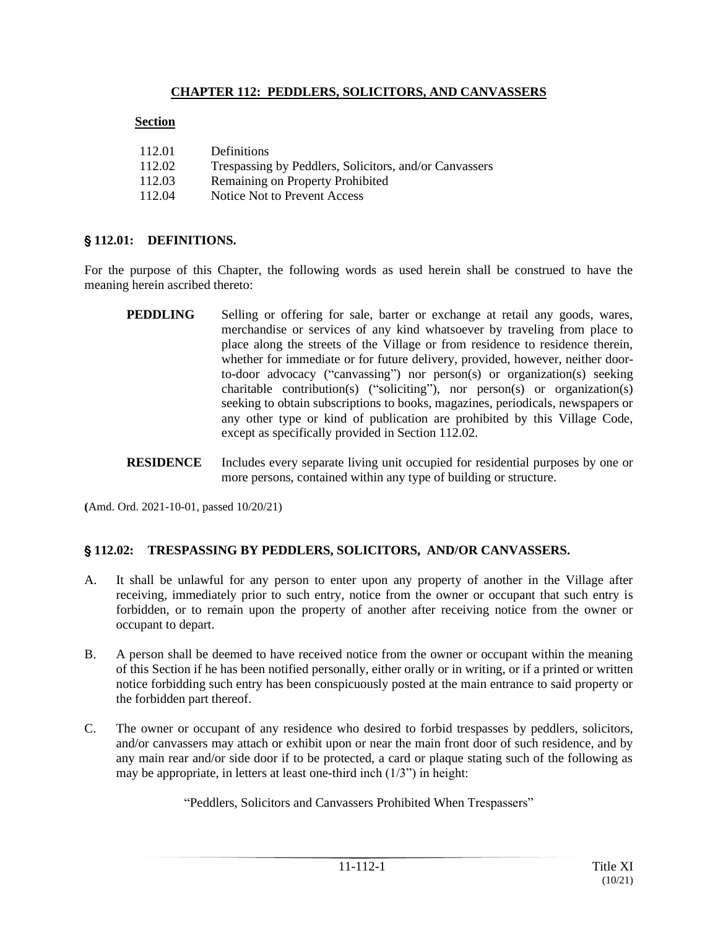## **CHAPTER 112: PEDDLERS, SOLICITORS, AND CANVASSERS**

#### **Section**

| 112.01 | Definitions                                            |
|--------|--------------------------------------------------------|
| 112.02 | Trespassing by Peddlers, Solicitors, and/or Canvassers |
| 112.03 | Remaining on Property Prohibited                       |
| 112.04 | Notice Not to Prevent Access                           |

#### **§112.01: DEFINITIONS.**

For the purpose of this Chapter, the following words as used herein shall be construed to have the meaning herein ascribed thereto:

- **PEDDLING** Selling or offering for sale, barter or exchange at retail any goods, wares, merchandise or services of any kind whatsoever by traveling from place to place along the streets of the Village or from residence to residence therein, whether for immediate or for future delivery, provided, however, neither doorto-door advocacy ("canvassing") nor person(s) or organization(s) seeking charitable contribution(s) ("soliciting"), nor person(s) or organization(s) seeking to obtain subscriptions to books, magazines, periodicals, newspapers or any other type or kind of publication are prohibited by this Village Code, except as specifically provided in Section 112.02.
- **RESIDENCE** Includes every separate living unit occupied for residential purposes by one or more persons, contained within any type of building or structure.

**(**Amd. Ord. 2021-10-01, passed 10/20/21)

## ' **112.02: TRESPASSING BY PEDDLERS, SOLICITORS, AND/OR CANVASSERS.**

- A. It shall be unlawful for any person to enter upon any property of another in the Village after receiving, immediately prior to such entry, notice from the owner or occupant that such entry is forbidden, or to remain upon the property of another after receiving notice from the owner or occupant to depart.
- B. A person shall be deemed to have received notice from the owner or occupant within the meaning of this Section if he has been notified personally, either orally or in writing, or if a printed or written notice forbidding such entry has been conspicuously posted at the main entrance to said property or the forbidden part thereof.
- C. The owner or occupant of any residence who desired to forbid trespasses by peddlers, solicitors, and/or canvassers may attach or exhibit upon or near the main front door of such residence, and by any main rear and/or side door if to be protected, a card or plaque stating such of the following as may be appropriate, in letters at least one-third inch (1/3") in height:

"Peddlers, Solicitors and Canvassers Prohibited When Trespassers"